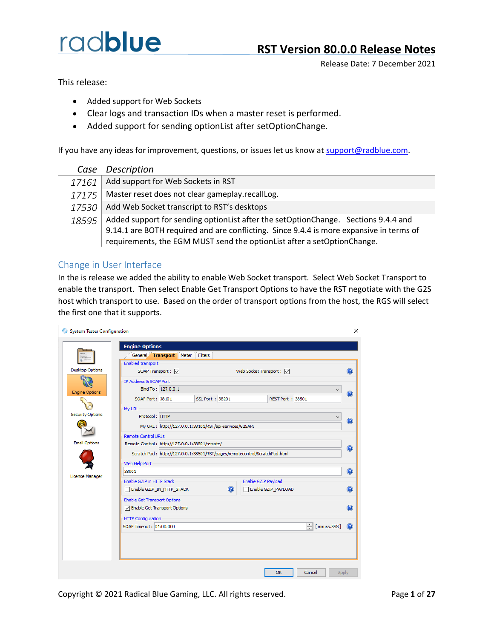Release Date: 7 December 2021

This release:

- Added support for Web Sockets
- Clear logs and transaction IDs when a master reset is performed.
- Added support for sending optionList after setOptionChange.

If you have any ideas for improvement, questions, or issues let us know at [support@radblue.com.](mailto:support@radblue.com)

|       | Case Description                                                                                                                                                                                                                                            |
|-------|-------------------------------------------------------------------------------------------------------------------------------------------------------------------------------------------------------------------------------------------------------------|
| 17161 | Add support for Web Sockets in RST                                                                                                                                                                                                                          |
| 17175 | Master reset does not clear gameplay.recallLog.                                                                                                                                                                                                             |
| 17530 | Add Web Socket transcript to RST's desktops                                                                                                                                                                                                                 |
| 18595 | Added support for sending option List after the set Option Change. Sections 9.4.4 and<br>9.14.1 are BOTH required and are conflicting. Since 9.4.4 is more expansive in terms of<br>requirements, the EGM MUST send the optionList after a setOptionChange. |

#### Change in User Interface

In the is release we added the ability to enable Web Socket transport. Select Web Socket Transport to enable the transport. Then select Enable Get Transport Options to have the RST negotiate with the G2S host which transport to use. Based on the order of transport options from the host, the RGS will select the first one that it supports.

|                         | General Transport Meter                                                     | Filters         |                          |                   |
|-------------------------|-----------------------------------------------------------------------------|-----------------|--------------------------|-------------------|
|                         | Enabled transport                                                           |                 |                          |                   |
| <b>Desktop Options</b>  | SOAP Transport : √                                                          |                 | Web Socket Transport : √ | $\circledcirc$    |
|                         | IP Address & SOAP Port                                                      |                 |                          |                   |
| <b>Engine Options</b>   | Bind To: 127.0.0.1                                                          |                 |                          |                   |
|                         | SOAP Port: 38101                                                            | SSL Port: 38201 | REST Port: 38501         | $\circledR$       |
|                         | My URL                                                                      |                 |                          |                   |
| <b>Security Options</b> | Protocol: HTTP                                                              |                 |                          |                   |
|                         | My URL: http://127.0.0.1:38101/RST/api-services/G2SAPI                      |                 |                          | $\bullet$         |
|                         | <b>Remote Control URLs</b>                                                  |                 |                          |                   |
| <b>Email Options</b>    | Remote Control: http://127.0.0.1:38501/remote/                              |                 |                          |                   |
|                         | Scratch Pad: http://127.0.0.1:38501/RST/pages/remotecontrol/ScratchPad.html |                 |                          | $\odot$           |
|                         | Web Help Port                                                               |                 |                          |                   |
|                         | 38901                                                                       |                 |                          | $\circledcirc$    |
| License Manager         | Enable GZIP in HTTP Stack                                                   |                 | Enable GZIP Payload      |                   |
|                         | Enable GZIP_IN_HTTP_STACK                                                   | $\odot$         | Enable GZIP_PAYLOAD      | $\left( 2\right)$ |
|                         |                                                                             |                 |                          |                   |
|                         | <b>Enable Get Transport Options</b><br>□ Enable Get Transport Options       |                 |                          | $\bullet$         |
|                         |                                                                             |                 |                          |                   |
|                         | <b>HTTP Configuration</b><br>SOAP Timeout: 01:00.000                        |                 |                          |                   |
|                         |                                                                             |                 | ÷<br>[mm:ss.SSS]         | $\left( 2\right)$ |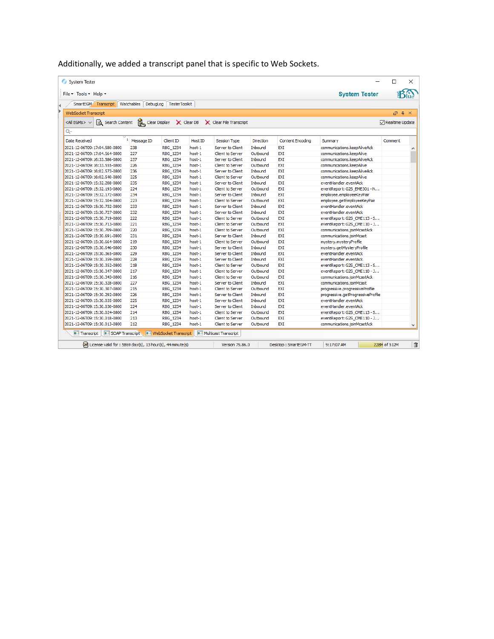Additionally, we added a transcript panel that is specific to Web Sockets.

| File * Tools * Help *                                   |                         |                  |         |                                                                        |                  |                         | <b>System Tester</b>              |                 |
|---------------------------------------------------------|-------------------------|------------------|---------|------------------------------------------------------------------------|------------------|-------------------------|-----------------------------------|-----------------|
| SmartEGM Transcript Watchables DebugLog                 |                         | TesterToolkit    |         |                                                                        |                  |                         |                                   |                 |
| <b>WebSocket Transcript</b>                             |                         |                  |         |                                                                        |                  |                         |                                   | $\sqrt{2}$<br>ā |
| Search Content<br><all egms=""> <math>\vee</math></all> |                         |                  |         | Clear Display $\mathsf{X}$ Clear DB $\mathsf{X}$ Clear File Transcript |                  |                         |                                   | Realtime Update |
| Q-                                                      |                         |                  |         |                                                                        |                  |                         |                                   |                 |
| <b>Date Received</b>                                    | <sup>1</sup> Message ID | <b>Client ID</b> | Host ID | <b>Session Type</b>                                                    | <b>Direction</b> | <b>Content Encoding</b> | Summary                           | Comment         |
| 2021-12-06T09:17:04.580-0800                            | 238                     | <b>RBG 1234</b>  | host-1  | Server to Client                                                       | Inbound          | EXT                     | communications.keepAliveAck       |                 |
| 2021-12-06T09:17:04.564-0800                            | 227                     | RBG 1234         | host-1  | <b>Client to Server</b>                                                | Outbound         | EXT                     | communications.keepAlive          |                 |
| 2021-12-06T09:16:33.586-0800                            | 237                     | RBG 1234         | host-1  | Server to Client                                                       | Inbound          | EXT                     | communications.keepAliveAck       |                 |
| 2021-12-06T09:16:33.555-0800                            | 226                     | RBG 1234         | host-1  | <b>Client to Server</b>                                                | Outbound         | EXI                     | communications.keepAlive          |                 |
| 2021-12-06T09:16:02.573-0800                            | 236                     | RBG_1234         | host-1  | Server to Client                                                       | Inbound          | EXT                     | communications, keepAliveAck      |                 |
| 2021-12-06T09:16:02.540-0800                            | 225                     | RBG 1234         | host-1  | <b>Client to Server</b>                                                | Outbound         | EXI                     | communications.keepAlive          |                 |
| 2021-12-06T09:15:32.208-0800                            | 235                     | RBG 1234         | host-1  | Server to Client                                                       | Inbound          | EXI                     | eventHandler.eventAck             |                 |
| 2021-12-06T09:15:32.193-0800                            | 224                     | RBG_1234         | host-1  | <b>Client to Server</b>                                                | Outbound         | EXT                     | eventReport: G2S EME301 - N       |                 |
| 2021-12-06T09:15:32.172-0800                            | 234                     | RBG_1234         | host-1  | Server to Client                                                       | Inbound          | EXI                     | employee.employeeKeyPair          |                 |
| 2021-12-06T09:15:32.104-0800                            | 223                     | RBG_1234         | host-1  | <b>Client to Server</b>                                                | Outbound         | EXT                     | employee.getEmployeeKeyPair       |                 |
| 2021-12-06T09:15:30.732-0800                            | 233                     | RBG 1234         | host-1  | Server to Client                                                       | Inbound          | EXI                     | eventHandler.eventAck             |                 |
| 2021-12-06T09:15:30.727-0800                            | 232                     | <b>RBG 1234</b>  | host-1  | Server to Client                                                       | Inbound          | EXT                     | eventHandler.eventAck             |                 |
| 2021-12-06T09:15:30.719-0800                            | 222                     | RBG 1234         | host-1  | <b>Client to Server</b>                                                | Outbound         | <b>EXI</b>              | eventReport: G2S_CME113 - S       |                 |
| 2021-12-06T09:15:30.713-0800                            | 221                     | RBG 1234         | host-1  | <b>Client to Server</b>                                                | Outbound         | <b>EXI</b>              | eventReport: G2S CME110 - J       |                 |
| 2021-12-06T09:15:30.709-0800                            | 220                     | RBG 1234         | host-1  | <b>Client to Server</b>                                                | Outbound         | EXI                     | communications.joinMcastAck       |                 |
| 2021-12-06T09:15:30.691-0800                            | 231                     | RBG_1234         | host-1  | Server to Client                                                       | Inbound          | EXI                     | communications.joinMcast          |                 |
| 2021-12-06T09:15:30.664-0800                            | 219                     | RBG_1234         | host-1  | <b>Client to Server</b>                                                | Outbound         | EXT                     | mystery.mysteryProfile            |                 |
| 2021-12-06T09:15:30.646-0800                            | 230                     | <b>RBG 1234</b>  | host-1  | Server to Client                                                       | Inbound          | EXI                     | mystery.getMysteryProfile         |                 |
| 2021-12-06T09:15:30.365-0800                            | 229                     | RBG 1234         | host-1  | Server to Client                                                       | Inbound          | EXI                     | eventHandler.eventAck             |                 |
| 2021-12-06T09:15:30.359-0800                            | 228                     | RBG 1234         | host-1  | Server to Client                                                       | Inbound          | EXT                     | eventHandler.eventAck             |                 |
| 2021-12-06T09:15:30.352-0800                            | 218                     | RBG 1234         | host-1  | <b>Client to Server</b>                                                | Outbound         | EXI                     | eventReport: G2S CME113 - S       |                 |
| 2021-12-06T09:15:30.347-0800                            | 217                     | RBG 1234         | host-1  | <b>Client to Server</b>                                                | Outbound         | EXT                     | eventReport: G2S CME110 - J       |                 |
| 2021-12-06T09:15:30.343-0800                            | 216                     | RBG 1234         | host-1  | Client to Server                                                       | Outbound         | EXT                     | communications.joinMcastAck       |                 |
| 2021-12-06T09:15:30.328-0800                            | 227                     | RBG_1234         | host-1  | Server to Client                                                       | <b>Inhound</b>   | EXT                     | communications.joinMcast          |                 |
| 2021-12-06T09:15:30.307-0800                            | 215                     | RBG 1234         | host-1  | Client to Server                                                       | Outbound         | EXI                     | progressive.progressiveProfile    |                 |
| 2021-12-06T09:15:30.292-0800                            | 226                     | RBG_1234         | host-1  | Server to Client                                                       | Inbound          | EXI                     | progressive.getProgressiveProfile |                 |
| 2021-12-06T09:15:30.035-0800                            | 225                     | RBG_1234         | host-1  | Server to Client                                                       | Inbound          | EXT                     | eventHandler.eventAck             |                 |
| 2021-12-06T09:15:30.030-0800                            | 224                     | RBG 1234         | host-1  | Server to Client                                                       | Inbound          | EXT                     | eventHandler.eventAck             |                 |
| 2021-12-06T09:15:30.024-0800                            | 214                     | <b>RBG 1234</b>  | host-1  | <b>Client to Server</b>                                                | Outbound         | EXT                     | eventReport: G2S CME113 - S       |                 |
| 2021-12-06T09:15:30.018-0800                            | 213                     | RBG 1234         | host-1  | <b>Client to Server</b>                                                | Outbound         | EXI                     | eventReport: G2S CME110 - J       |                 |
| 2021-12-06T09:15:30.013-0800                            | 212                     | <b>RBG 1234</b>  | host-1  | Client to Server                                                       | Outbound         | <b>FXT</b>              | communications.joinMcastAck       |                 |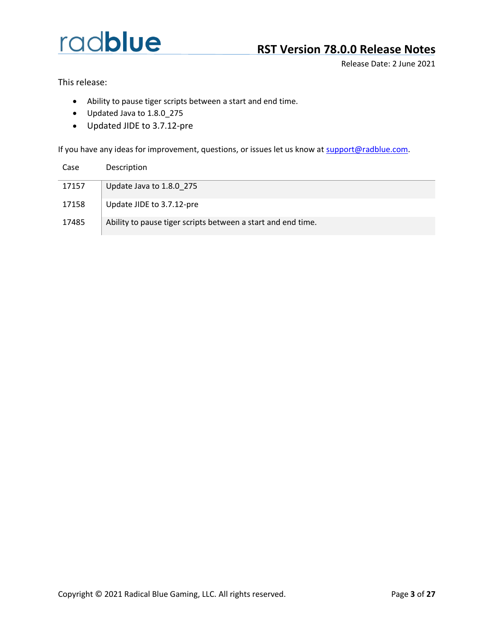## **RST Version 78.0.0 Release Notes**

Release Date: 2 June 2021

This release:

- Ability to pause tiger scripts between a start and end time.
- Updated Java to 1.8.0\_275
- Updated JIDE to 3.7.12-pre

| Case  | Description                                                  |
|-------|--------------------------------------------------------------|
| 17157 | Update Java to 1.8.0 275                                     |
| 17158 | Update JIDE to 3.7.12-pre                                    |
| 17485 | Ability to pause tiger scripts between a start and end time. |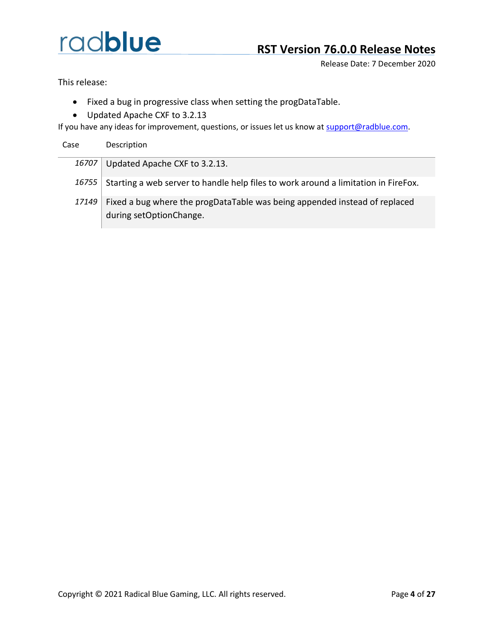Release Date: 7 December 2020

This release:

- Fixed a bug in progressive class when setting the progDataTable.
- Updated Apache CXF to 3.2.13

If you have any ideas for improvement, questions, or issues let us know at [support@radblue.com.](mailto:support@radblue.com)

Case Description

*16707* Updated Apache CXF to 3.2.13.

- 16755 Starting a web server to handle help files to work around a limitation in FireFox.
- 17149 Fixed a bug where the progDataTable was being appended instead of replaced during setOptionChange.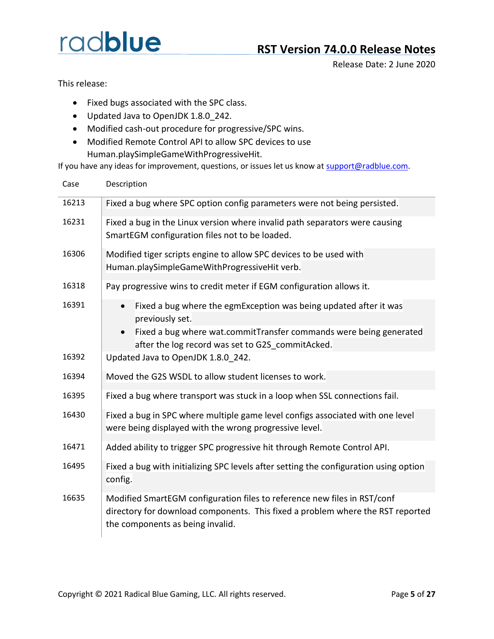## **RST Version 74.0.0 Release Notes**

Release Date: 2 June 2020

This release:

- Fixed bugs associated with the SPC class.
- Updated Java to OpenJDK 1.8.0\_242.
- Modified cash-out procedure for progressive/SPC wins.
- Modified Remote Control API to allow SPC devices to use Human.playSimpleGameWithProgressiveHit.

| Case  | Description |                                                                                                                                                                                                |
|-------|-------------|------------------------------------------------------------------------------------------------------------------------------------------------------------------------------------------------|
| 16213 |             | Fixed a bug where SPC option config parameters were not being persisted.                                                                                                                       |
| 16231 |             | Fixed a bug in the Linux version where invalid path separators were causing<br>SmartEGM configuration files not to be loaded.                                                                  |
| 16306 |             | Modified tiger scripts engine to allow SPC devices to be used with<br>Human.playSimpleGameWithProgressiveHit verb.                                                                             |
| 16318 |             | Pay progressive wins to credit meter if EGM configuration allows it.                                                                                                                           |
| 16391 | $\bullet$   | Fixed a bug where the egmException was being updated after it was<br>previously set.                                                                                                           |
|       | $\bullet$   | Fixed a bug where wat.commitTransfer commands were being generated<br>after the log record was set to G2S commitAcked.                                                                         |
| 16392 |             | Updated Java to OpenJDK 1.8.0 242.                                                                                                                                                             |
| 16394 |             | Moved the G2S WSDL to allow student licenses to work.                                                                                                                                          |
| 16395 |             | Fixed a bug where transport was stuck in a loop when SSL connections fail.                                                                                                                     |
| 16430 |             | Fixed a bug in SPC where multiple game level configs associated with one level<br>were being displayed with the wrong progressive level.                                                       |
| 16471 |             | Added ability to trigger SPC progressive hit through Remote Control API.                                                                                                                       |
| 16495 | config.     | Fixed a bug with initializing SPC levels after setting the configuration using option                                                                                                          |
| 16635 |             | Modified SmartEGM configuration files to reference new files in RST/conf<br>directory for download components. This fixed a problem where the RST reported<br>the components as being invalid. |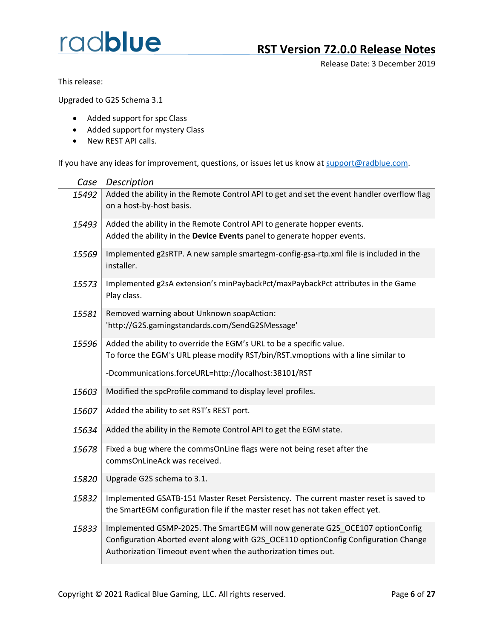## **RST Version 72.0.0 Release Notes**

Release Date: 3 December 2019

This release:

Upgraded to G2S Schema 3.1

- Added support for spc Class
- Added support for mystery Class
- New REST API calls.

| Case  | Description                                                                                                                                                                                                                           |
|-------|---------------------------------------------------------------------------------------------------------------------------------------------------------------------------------------------------------------------------------------|
| 15492 | Added the ability in the Remote Control API to get and set the event handler overflow flag<br>on a host-by-host basis.                                                                                                                |
| 15493 | Added the ability in the Remote Control API to generate hopper events.<br>Added the ability in the Device Events panel to generate hopper events.                                                                                     |
| 15569 | Implemented g2sRTP. A new sample smartegm-config-gsa-rtp.xml file is included in the<br>installer.                                                                                                                                    |
| 15573 | Implemented g2sA extension's minPaybackPct/maxPaybackPct attributes in the Game<br>Play class.                                                                                                                                        |
| 15581 | Removed warning about Unknown soapAction:<br>'http://G2S.gamingstandards.com/SendG2SMessage'                                                                                                                                          |
| 15596 | Added the ability to override the EGM's URL to be a specific value.<br>To force the EGM's URL please modify RST/bin/RST.vmoptions with a line similar to                                                                              |
|       | -Dcommunications.forceURL=http://localhost:38101/RST                                                                                                                                                                                  |
| 15603 | Modified the spcProfile command to display level profiles.                                                                                                                                                                            |
| 15607 | Added the ability to set RST's REST port.                                                                                                                                                                                             |
| 15634 | Added the ability in the Remote Control API to get the EGM state.                                                                                                                                                                     |
| 15678 | Fixed a bug where the commsOnLine flags were not being reset after the<br>commsOnLineAck was received.                                                                                                                                |
| 15820 | Upgrade G2S schema to 3.1.                                                                                                                                                                                                            |
| 15832 | Implemented GSATB-151 Master Reset Persistency. The current master reset is saved to<br>the SmartEGM configuration file if the master reset has not taken effect yet.                                                                 |
| 15833 | Implemented GSMP-2025. The SmartEGM will now generate G2S_OCE107 optionConfig<br>Configuration Aborted event along with G2S_OCE110 optionConfig Configuration Change<br>Authorization Timeout event when the authorization times out. |
|       |                                                                                                                                                                                                                                       |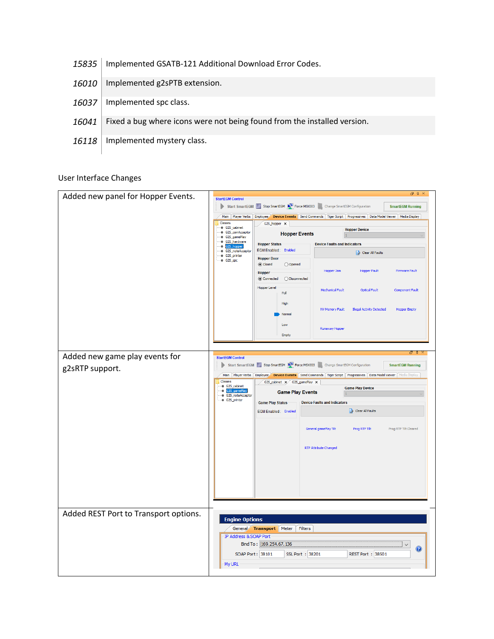- 15835 | Implemented GSATB-121 Additional Download Error Codes.
- 16010 | Implemented g2sPTB extension.
- 16037 | Implemented spc class.
- 16041 Fixed a bug where icons were not being found from the installed version.
- 16118 | Implemented mystery class.

#### User Interface Changes

|                                       |                                      |                                                                                                                                                  |                                     |                                   | $\Box$ $\uparrow$ $\times$ |
|---------------------------------------|--------------------------------------|--------------------------------------------------------------------------------------------------------------------------------------------------|-------------------------------------|-----------------------------------|----------------------------|
| Added new panel for Hopper Events.    | <b>StartEGM Control</b>              |                                                                                                                                                  |                                     |                                   |                            |
|                                       |                                      | Start SmartEGM Stop SmartEGM E Force MSX003 Change SmartEGM Configuration                                                                        |                                     |                                   | <b>SmartEGM Running</b>    |
|                                       |                                      | Main Player Verbs Employee Device Events Send Commands Tiger Script Progressives Data Model Viewer Media Display                                 |                                     |                                   |                            |
|                                       | Classes<br>G2S_cabinet               | G2S_hopper ×                                                                                                                                     |                                     |                                   |                            |
|                                       | ♦ G2S_coinAcceptor<br>← G2S_gamePlay | <b>Hopper Events</b>                                                                                                                             |                                     | <b>Hopper Device</b><br>$\vert$ 1 |                            |
|                                       | G2S_hardware                         | <b>Hopper Status</b>                                                                                                                             | <b>Device Faults and Indicators</b> |                                   |                            |
|                                       | G2S_hopper<br>● G2S_noteAcceptor     | EGM Enabled: Enabled                                                                                                                             |                                     | Clear All Faults                  |                            |
|                                       | ♦ G2S_printer<br>⊕ G2S_spc           | <b>Hopper Door</b>                                                                                                                               |                                     |                                   |                            |
|                                       |                                      | © Closed<br>◯ Opened                                                                                                                             |                                     |                                   |                            |
|                                       |                                      | <b>Hopper</b>                                                                                                                                    | Hopper Jam                          | <b>Hopper Fault</b>               | <b>Firmware Fault</b>      |
|                                       |                                      | ◉ Connected<br>◯ Disconnected                                                                                                                    |                                     |                                   |                            |
|                                       |                                      | <b>Hopper Level</b>                                                                                                                              | <b>Mechanical Fault</b>             | <b>Optical Fault</b>              | <b>Component Fault</b>     |
|                                       |                                      | Full                                                                                                                                             |                                     |                                   |                            |
|                                       |                                      | High                                                                                                                                             |                                     |                                   |                            |
|                                       |                                      | Normal                                                                                                                                           | NV Memory Fault                     | <b>Illegal Activity Detected</b>  | <b>Hopper Empty</b>        |
|                                       |                                      |                                                                                                                                                  |                                     |                                   |                            |
|                                       |                                      | Low                                                                                                                                              | <b>Runaway Hopper</b>               |                                   |                            |
|                                       |                                      | Empty                                                                                                                                            |                                     |                                   |                            |
|                                       |                                      |                                                                                                                                                  |                                     |                                   |                            |
| Added new game play events for        |                                      |                                                                                                                                                  |                                     |                                   | ਜਾ                         |
|                                       | <b>StartEGM Control</b>              | Start SmartEGM Stop SmartEGM Configuration                                                                                                       |                                     |                                   | <b>SmartEGM Running</b>    |
| g2sRTP support.                       |                                      |                                                                                                                                                  |                                     |                                   |                            |
|                                       | Classes                              | Main Player Verbs Employee Device Events Send Commands Tiger Script Progressives Data Model Viewer Media Display<br>G2S_cabinet x G2S_gamePlay x |                                     |                                   |                            |
|                                       | ● G2S_cabinet                        |                                                                                                                                                  |                                     | <b>Game Play Device</b>           |                            |
|                                       | G2S_gamePlay                         |                                                                                                                                                  |                                     |                                   |                            |
|                                       | ♦ G2S_noteAcceptor                   | <b>Game Play Events</b>                                                                                                                          |                                     |                                   |                            |
|                                       | ● G2S_printer                        | <b>Game Play Status</b>                                                                                                                          | <b>Device Faults and Indicators</b> |                                   |                            |
|                                       |                                      | EGM Enabled: Enabled                                                                                                                             |                                     | Clear All Faults                  |                            |
|                                       |                                      |                                                                                                                                                  |                                     |                                   |                            |
|                                       |                                      |                                                                                                                                                  | General gamePlay Tilt               | Prog RTP Tilt                     | Prog RTP Tilt Cleared      |
|                                       |                                      |                                                                                                                                                  |                                     |                                   |                            |
|                                       |                                      |                                                                                                                                                  |                                     |                                   |                            |
|                                       |                                      |                                                                                                                                                  | RTP Attribute Changed               |                                   |                            |
|                                       |                                      |                                                                                                                                                  |                                     |                                   |                            |
|                                       |                                      |                                                                                                                                                  |                                     |                                   |                            |
|                                       |                                      |                                                                                                                                                  |                                     |                                   |                            |
|                                       |                                      |                                                                                                                                                  |                                     |                                   |                            |
|                                       |                                      |                                                                                                                                                  |                                     |                                   |                            |
|                                       |                                      |                                                                                                                                                  |                                     |                                   |                            |
|                                       |                                      |                                                                                                                                                  |                                     |                                   |                            |
| Added REST Port to Transport options. |                                      |                                                                                                                                                  |                                     |                                   |                            |
|                                       | <b>Engine Options</b>                |                                                                                                                                                  |                                     |                                   |                            |
|                                       |                                      | General Transport Meter<br>Filters                                                                                                               |                                     |                                   |                            |
|                                       | IP Address & SOAP Port               |                                                                                                                                                  |                                     |                                   |                            |
|                                       |                                      | Bind To: 169.254.67.136                                                                                                                          |                                     |                                   | $\checkmark$<br>0          |
|                                       |                                      | SOAP Port: 38101<br>SSL Port : 38201                                                                                                             |                                     | REST Port: 38501                  |                            |
|                                       | My URL                               |                                                                                                                                                  |                                     |                                   |                            |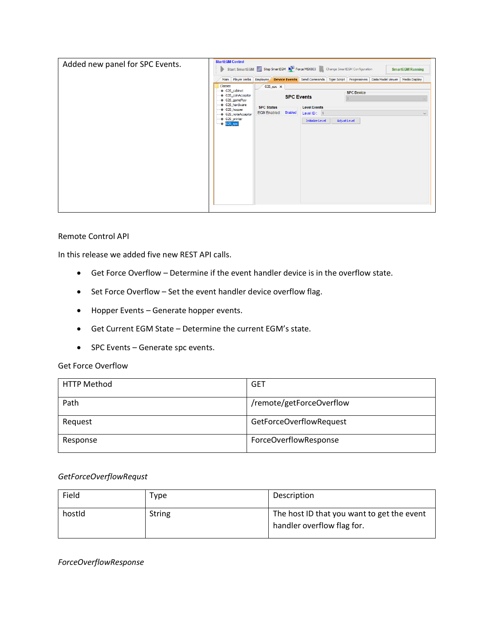| Classes<br>$G2S$ <sub>_Spc</sub> $\times$<br>♦ G2S cabinet<br><b>SPC Device</b><br>♦ G2S_coinAcceptor<br><b>SPC Events</b><br>G2S gamePlay<br>♦ G2S_hardware<br><b>SPC Status</b><br><b>Level Events</b><br>♦ G2S_hopper<br>EGM Enabled: Enabled<br>Level ID: 1<br>♦ G2S noteAcceptor<br>♦ G2S_printer<br>Adjust Level<br><b>Initialize Level</b><br>$\textcirc$ G2S_spc | Added new panel for SPC Events. | <b>StartEGM Control</b><br>Start SmartEGM Stop SmartEGM $\Box$ Force MSX003 Change SmartEGM Configuration<br><b>SmartEGM Running</b> |              |
|--------------------------------------------------------------------------------------------------------------------------------------------------------------------------------------------------------------------------------------------------------------------------------------------------------------------------------------------------------------------------|---------------------------------|--------------------------------------------------------------------------------------------------------------------------------------|--------------|
|                                                                                                                                                                                                                                                                                                                                                                          |                                 | Main Player Verbs Employee Device Events Send Commands   Tiger Script   Progressives   Data Model Viewer   Media Display             |              |
|                                                                                                                                                                                                                                                                                                                                                                          |                                 |                                                                                                                                      | $\checkmark$ |

#### Remote Control API

In this release we added five new REST API calls.

- Get Force Overflow Determine if the event handler device is in the overflow state.
- Set Force Overflow Set the event handler device overflow flag.
- Hopper Events Generate hopper events.
- Get Current EGM State Determine the current EGM's state.
- SPC Events Generate spc events.

#### Get Force Overflow

| <b>HTTP Method</b> | GET                      |
|--------------------|--------------------------|
| Path               | /remote/getForceOverflow |
| Request            | GetForceOverflowRequest  |
| Response           | ForceOverflowResponse    |

#### *GetForceOverflowRequst*

| Field  | Type          | Description                                                              |
|--------|---------------|--------------------------------------------------------------------------|
| hostid | <b>String</b> | The host ID that you want to get the event<br>handler overflow flag for. |

*ForceOverflowResponse*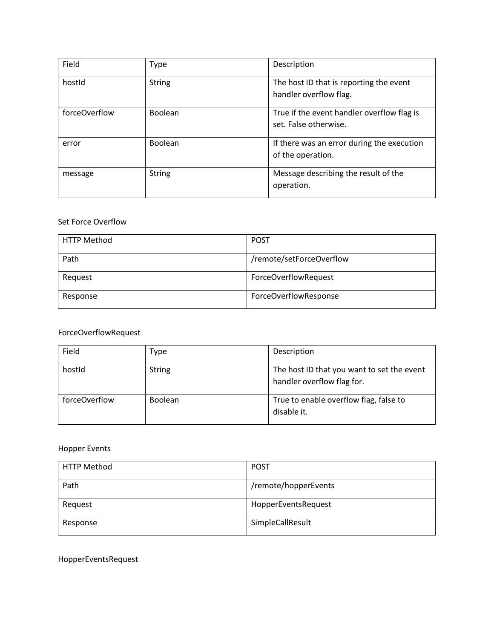| Field         | Type          | Description                                                         |
|---------------|---------------|---------------------------------------------------------------------|
| hostid        | <b>String</b> | The host ID that is reporting the event<br>handler overflow flag.   |
| forceOverflow | Boolean       | True if the event handler overflow flag is<br>set. False otherwise. |
| error         | Boolean       | If there was an error during the execution<br>of the operation.     |
| message       | <b>String</b> | Message describing the result of the<br>operation.                  |

#### Set Force Overflow

| <b>HTTP Method</b> | <b>POST</b>              |
|--------------------|--------------------------|
| Path               | /remote/setForceOverflow |
| Request            | ForceOverflowRequest     |
| Response           | ForceOverflowResponse    |

### ForceOverflowRequest

| Field         | Type           | Description                                                              |
|---------------|----------------|--------------------------------------------------------------------------|
| hostid        | <b>String</b>  | The host ID that you want to set the event<br>handler overflow flag for. |
| forceOverflow | <b>Boolean</b> | True to enable overflow flag, false to<br>disable it.                    |

### Hopper Events

| <b>HTTP Method</b> | <b>POST</b>          |
|--------------------|----------------------|
| Path               | /remote/hopperEvents |
| Request            | HopperEventsRequest  |
| Response           | SimpleCallResult     |

HopperEventsRequest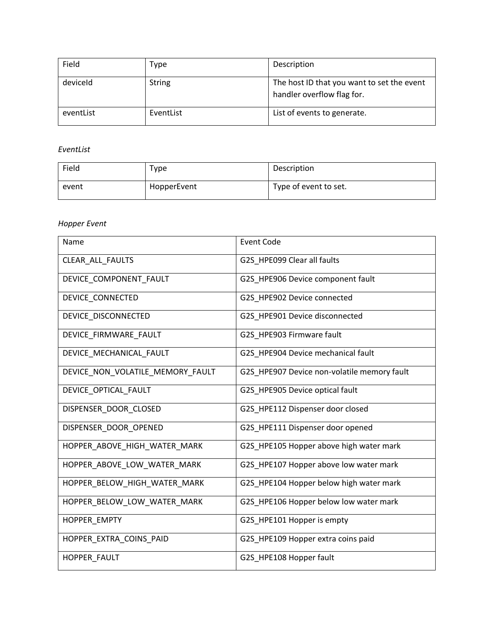| Field     | Type          | Description                                                              |
|-----------|---------------|--------------------------------------------------------------------------|
| deviceld  | <b>String</b> | The host ID that you want to set the event<br>handler overflow flag for. |
| eventList | EventList     | List of events to generate.                                              |

#### *EventList*

| Field | туре        | Description           |
|-------|-------------|-----------------------|
| event | HopperEvent | Type of event to set. |

### *Hopper Event*

| Name                             | <b>Event Code</b>                           |
|----------------------------------|---------------------------------------------|
| CLEAR ALL FAULTS                 | G2S HPE099 Clear all faults                 |
| DEVICE_COMPONENT_FAULT           | G2S HPE906 Device component fault           |
| DEVICE_CONNECTED                 | G2S_HPE902 Device connected                 |
| DEVICE DISCONNECTED              | G2S HPE901 Device disconnected              |
| DEVICE_FIRMWARE_FAULT            | G2S_HPE903 Firmware fault                   |
| DEVICE_MECHANICAL_FAULT          | G2S_HPE904 Device mechanical fault          |
| DEVICE_NON_VOLATILE_MEMORY_FAULT | G2S_HPE907 Device non-volatile memory fault |
| DEVICE_OPTICAL_FAULT             | G2S_HPE905 Device optical fault             |
| DISPENSER_DOOR_CLOSED            | G2S_HPE112 Dispenser door closed            |
| DISPENSER DOOR OPENED            | G2S HPE111 Dispenser door opened            |
| HOPPER_ABOVE_HIGH_WATER_MARK     | G2S_HPE105 Hopper above high water mark     |
| HOPPER_ABOVE_LOW_WATER_MARK      | G2S_HPE107 Hopper above low water mark      |
| HOPPER_BELOW_HIGH_WATER_MARK     | G2S HPE104 Hopper below high water mark     |
| HOPPER_BELOW_LOW_WATER_MARK      | G2S_HPE106 Hopper below low water mark      |
| HOPPER_EMPTY                     | G2S_HPE101 Hopper is empty                  |
| HOPPER_EXTRA_COINS_PAID          | G2S_HPE109 Hopper extra coins paid          |
| HOPPER_FAULT                     | G2S_HPE108 Hopper fault                     |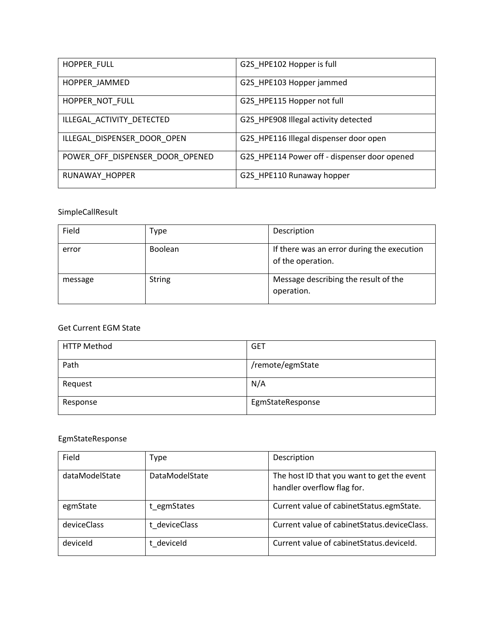| HOPPER_FULL                     | G2S HPE102 Hopper is full                    |
|---------------------------------|----------------------------------------------|
| HOPPER JAMMED                   | G2S HPE103 Hopper jammed                     |
| HOPPER NOT FULL                 | G2S HPE115 Hopper not full                   |
| ILLEGAL_ACTIVITY_DETECTED       | G2S HPE908 Illegal activity detected         |
| ILLEGAL DISPENSER DOOR OPEN     | G2S HPE116 Illegal dispenser door open       |
| POWER OFF DISPENSER DOOR OPENED | G2S HPE114 Power off - dispenser door opened |
| RUNAWAY HOPPER                  | G2S HPE110 Runaway hopper                    |

### SimpleCallResult

| Field   | Type           | Description                                                     |
|---------|----------------|-----------------------------------------------------------------|
| error   | <b>Boolean</b> | If there was an error during the execution<br>of the operation. |
| message | <b>String</b>  | Message describing the result of the<br>operation.              |

### Get Current EGM State

| <b>HTTP Method</b> | <b>GET</b>       |
|--------------------|------------------|
| Path               | /remote/egmState |
| Request            | N/A              |
| Response           | EgmStateResponse |

#### EgmStateResponse

| Field          | Type                  | Description                                                              |
|----------------|-----------------------|--------------------------------------------------------------------------|
| dataModelState | <b>DataModelState</b> | The host ID that you want to get the event<br>handler overflow flag for. |
| egmState       | t egmStates           | Current value of cabinetStatus.egmState.                                 |
| deviceClass    | t deviceClass         | Current value of cabinet Status. device Class.                           |
| deviceld       | t deviceld            | Current value of cabinet Status. deviceld.                               |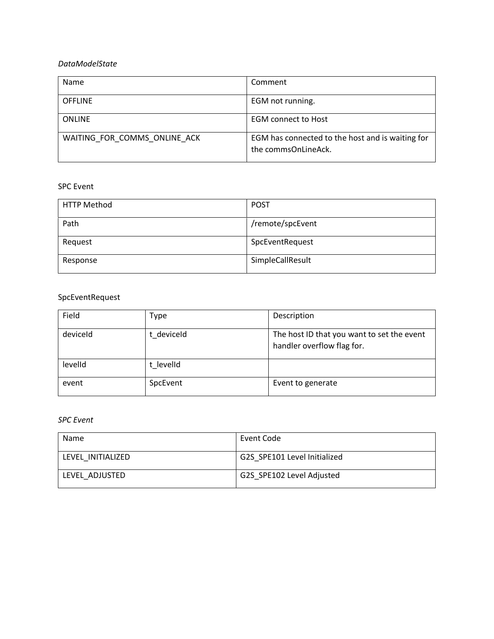#### *DataModelState*

| Name                         | Comment                                                                 |
|------------------------------|-------------------------------------------------------------------------|
| <b>OFFLINE</b>               | EGM not running.                                                        |
| <b>ONLINE</b>                | <b>EGM</b> connect to Host                                              |
| WAITING FOR COMMS ONLINE ACK | EGM has connected to the host and is waiting for<br>the commsOnLineAck. |

#### SPC Event

| <b>HTTP Method</b> | <b>POST</b>      |
|--------------------|------------------|
| Path               | /remote/spcEvent |
| Request            | SpcEventRequest  |
| Response           | SimpleCallResult |

#### SpcEventRequest

| Field    | Type       | Description                                                              |
|----------|------------|--------------------------------------------------------------------------|
| deviceld | t deviceld | The host ID that you want to set the event<br>handler overflow flag for. |
| levelId  | t levelId  |                                                                          |
| event    | SpcEvent   | Event to generate                                                        |

#### *SPC Event*

| Name              | Event Code                   |
|-------------------|------------------------------|
| LEVEL INITIALIZED | G2S SPE101 Level Initialized |
| LEVEL ADJUSTED    | G2S SPE102 Level Adjusted    |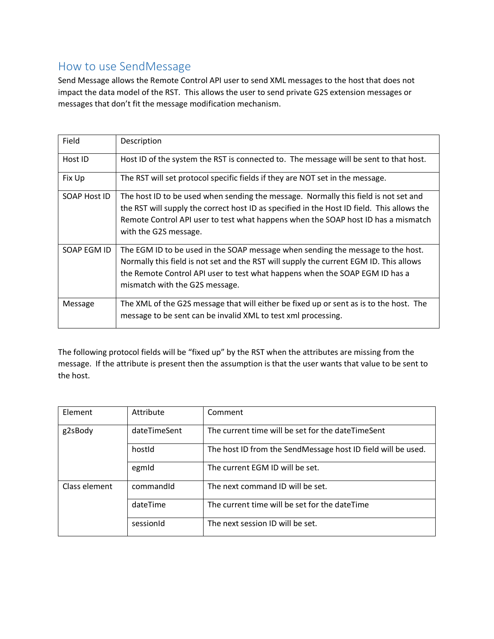## How to use SendMessage

Send Message allows the Remote Control API user to send XML messages to the host that does not impact the data model of the RST. This allows the user to send private G2S extension messages or messages that don't fit the message modification mechanism.

| Field        | Description                                                                                                                                                                                                                                                                                     |
|--------------|-------------------------------------------------------------------------------------------------------------------------------------------------------------------------------------------------------------------------------------------------------------------------------------------------|
| Host ID      | Host ID of the system the RST is connected to. The message will be sent to that host.                                                                                                                                                                                                           |
| Fix Up       | The RST will set protocol specific fields if they are NOT set in the message.                                                                                                                                                                                                                   |
| SOAP Host ID | The host ID to be used when sending the message. Normally this field is not set and<br>the RST will supply the correct host ID as specified in the Host ID field. This allows the<br>Remote Control API user to test what happens when the SOAP host ID has a mismatch<br>with the G2S message. |
| SOAP EGM ID  | The EGM ID to be used in the SOAP message when sending the message to the host.<br>Normally this field is not set and the RST will supply the current EGM ID. This allows<br>the Remote Control API user to test what happens when the SOAP EGM ID has a<br>mismatch with the G2S message.      |
| Message      | The XML of the G2S message that will either be fixed up or sent as is to the host. The<br>message to be sent can be invalid XML to test xml processing.                                                                                                                                         |

The following protocol fields will be "fixed up" by the RST when the attributes are missing from the message. If the attribute is present then the assumption is that the user wants that value to be sent to the host.

| Element       | Attribute    | Comment                                                      |
|---------------|--------------|--------------------------------------------------------------|
| g2sBody       | dateTimeSent | The current time will be set for the dateTimeSent            |
|               | hostid       | The host ID from the SendMessage host ID field will be used. |
|               | egmid        | The current EGM ID will be set.                              |
| Class element | commandid    | The next command ID will be set.                             |
|               | dateTime     | The current time will be set for the dateTime                |
|               | sessionId    | The next session ID will be set.                             |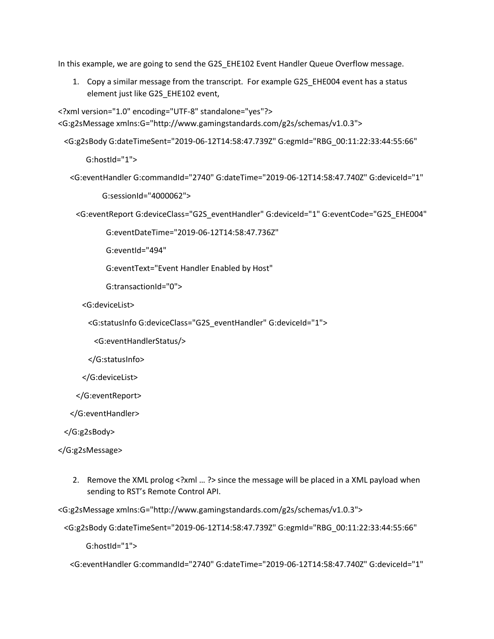In this example, we are going to send the G2S\_EHE102 Event Handler Queue Overflow message.

1. Copy a similar message from the transcript. For example G2S\_EHE004 event has a status element just like G2S\_EHE102 event,

```
<?xml version="1.0" encoding="UTF-8" standalone="yes"?>
<G:g2sMessage xmlns:G="http://www.gamingstandards.com/g2s/schemas/v1.0.3">
```
<G:g2sBody G:dateTimeSent="2019-06-12T14:58:47.739Z" G:egmId="RBG\_00:11:22:33:44:55:66"

G:hostId="1">

```
 <G:eventHandler G:commandId="2740" G:dateTime="2019-06-12T14:58:47.740Z" G:deviceId="1"
```
G:sessionId="4000062">

<G:eventReport G:deviceClass="G2S\_eventHandler" G:deviceId="1" G:eventCode="G2S\_EHE004"

G:eventDateTime="2019-06-12T14:58:47.736Z"

G:eventId="494"

G:eventText="Event Handler Enabled by Host"

G:transactionId="0">

<G:deviceList>

<G:statusInfo G:deviceClass="G2S\_eventHandler" G:deviceId="1">

<G:eventHandlerStatus/>

</G:statusInfo>

</G:deviceList>

</G:eventReport>

</G:eventHandler>

</G:g2sBody>

</G:g2sMessage>

2. Remove the XML prolog <?xml … ?> since the message will be placed in a XML payload when sending to RST's Remote Control API.

<G:g2sMessage xmlns:G="http://www.gamingstandards.com/g2s/schemas/v1.0.3">

<G:g2sBody G:dateTimeSent="2019-06-12T14:58:47.739Z" G:egmId="RBG\_00:11:22:33:44:55:66"

G:hostId="1">

<G:eventHandler G:commandId="2740" G:dateTime="2019-06-12T14:58:47.740Z" G:deviceId="1"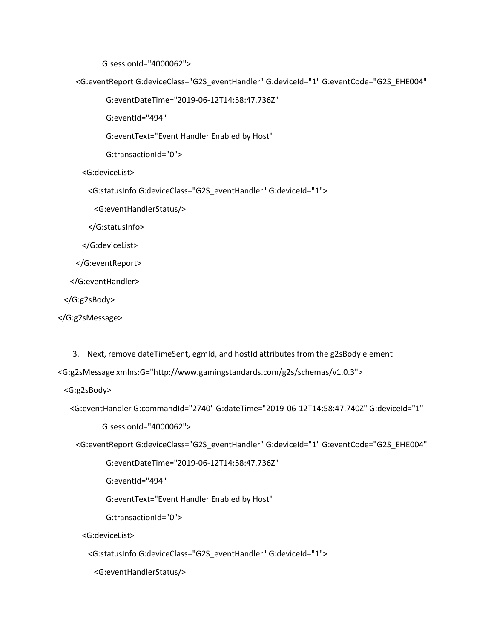G:sessionId="4000062">

<G:eventReport G:deviceClass="G2S\_eventHandler" G:deviceId="1" G:eventCode="G2S\_EHE004"

G:eventDateTime="2019-06-12T14:58:47.736Z"

G:eventId="494"

G:eventText="Event Handler Enabled by Host"

G:transactionId="0">

<G:deviceList>

<G:statusInfo G:deviceClass="G2S\_eventHandler" G:deviceId="1">

<G:eventHandlerStatus/>

</G:statusInfo>

</G:deviceList>

</G:eventReport>

</G:eventHandler>

</G:g2sBody>

</G:g2sMessage>

3. Next, remove dateTimeSent, egmId, and hostId attributes from the g2sBody element

<G:g2sMessage xmlns:G="http://www.gamingstandards.com/g2s/schemas/v1.0.3">

<G:g2sBody>

```
 <G:eventHandler G:commandId="2740" G:dateTime="2019-06-12T14:58:47.740Z" G:deviceId="1"
```
G:sessionId="4000062">

<G:eventReport G:deviceClass="G2S\_eventHandler" G:deviceId="1" G:eventCode="G2S\_EHE004"

G:eventDateTime="2019-06-12T14:58:47.736Z"

G:eventId="494"

G:eventText="Event Handler Enabled by Host"

G:transactionId="0">

<G:deviceList>

<G:statusInfo G:deviceClass="G2S\_eventHandler" G:deviceId="1">

<G:eventHandlerStatus/>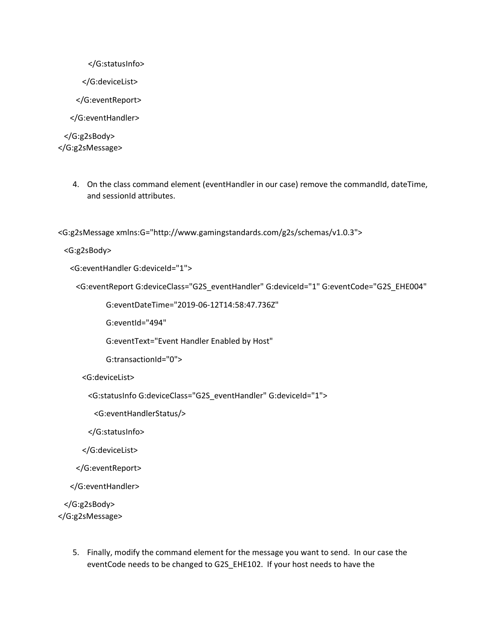```
 </G:statusInfo>
```
</G:deviceList>

</G:eventReport>

</G:eventHandler>

 </G:g2sBody> </G:g2sMessage>

> 4. On the class command element (eventHandler in our case) remove the commandId, dateTime, and sessionId attributes.

<G:g2sMessage xmlns:G="http://www.gamingstandards.com/g2s/schemas/v1.0.3">

<G:g2sBody>

<G:eventHandler G:deviceId="1">

<G:eventReport G:deviceClass="G2S\_eventHandler" G:deviceId="1" G:eventCode="G2S\_EHE004"

G:eventDateTime="2019-06-12T14:58:47.736Z"

G:eventId="494"

G:eventText="Event Handler Enabled by Host"

G:transactionId="0">

<G:deviceList>

<G:statusInfo G:deviceClass="G2S\_eventHandler" G:deviceId="1">

<G:eventHandlerStatus/>

</G:statusInfo>

</G:deviceList>

</G:eventReport>

</G:eventHandler>

 </G:g2sBody> </G:g2sMessage>

> 5. Finally, modify the command element for the message you want to send. In our case the eventCode needs to be changed to G2S\_EHE102. If your host needs to have the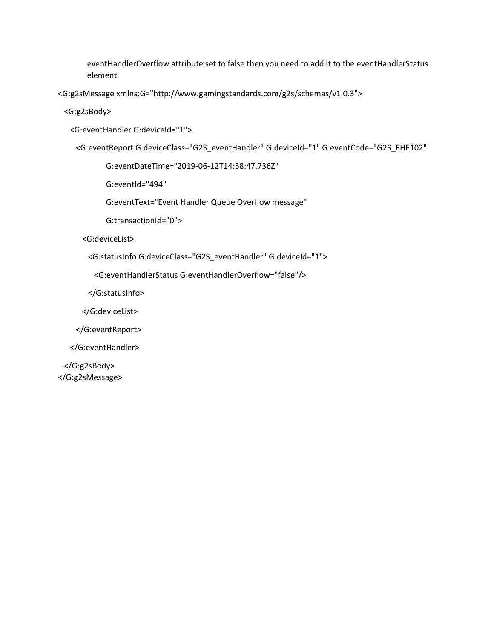eventHandlerOverflow attribute set to false then you need to add it to the eventHandlerStatus element.

<G:g2sMessage xmlns:G="http://www.gamingstandards.com/g2s/schemas/v1.0.3">

<G:g2sBody>

<G:eventHandler G:deviceId="1">

<G:eventReport G:deviceClass="G2S\_eventHandler" G:deviceId="1" G:eventCode="G2S\_EHE102"

G:eventDateTime="2019-06-12T14:58:47.736Z"

G:eventId="494"

G:eventText="Event Handler Queue Overflow message"

G:transactionId="0">

<G:deviceList>

<G:statusInfo G:deviceClass="G2S\_eventHandler" G:deviceId="1">

<G:eventHandlerStatus G:eventHandlerOverflow="false"/>

</G:statusInfo>

</G:deviceList>

</G:eventReport>

</G:eventHandler>

 </G:g2sBody> </G:g2sMessage>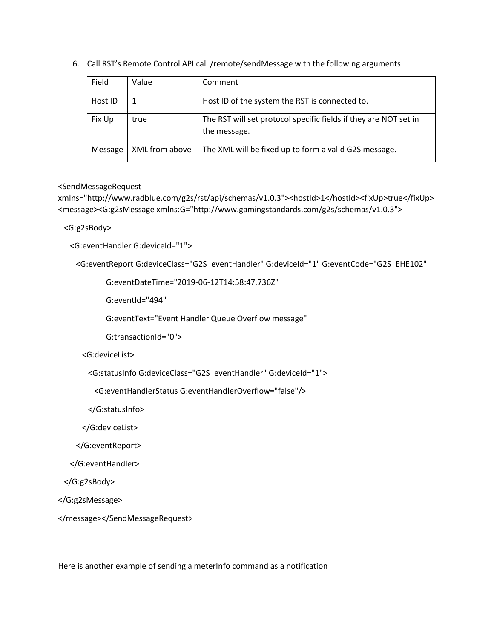| Field   | Value          | Comment                                                                          |
|---------|----------------|----------------------------------------------------------------------------------|
| Host ID |                | Host ID of the system the RST is connected to.                                   |
| Fix Up  | true           | The RST will set protocol specific fields if they are NOT set in<br>the message. |
| Message | XML from above | The XML will be fixed up to form a valid G2S message.                            |

6. Call RST's Remote Control API call /remote/sendMessage with the following arguments:

#### <SendMessageRequest

xmlns="http://www.radblue.com/g2s/rst/api/schemas/v1.0.3"><hostId>1</hostId><fixUp>true</fixUp> <message><G:g2sMessage xmlns:G="http://www.gamingstandards.com/g2s/schemas/v1.0.3">

<G:g2sBody>

<G:eventHandler G:deviceId="1">

<G:eventReport G:deviceClass="G2S\_eventHandler" G:deviceId="1" G:eventCode="G2S\_EHE102"

G:eventDateTime="2019-06-12T14:58:47.736Z"

G:eventId="494"

G:eventText="Event Handler Queue Overflow message"

G:transactionId="0">

<G:deviceList>

<G:statusInfo G:deviceClass="G2S\_eventHandler" G:deviceId="1">

<G:eventHandlerStatus G:eventHandlerOverflow="false"/>

</G:statusInfo>

</G:deviceList>

</G:eventReport>

</G:eventHandler>

</G:g2sBody>

</G:g2sMessage>

</message></SendMessageRequest>

Here is another example of sending a meterInfo command as a notification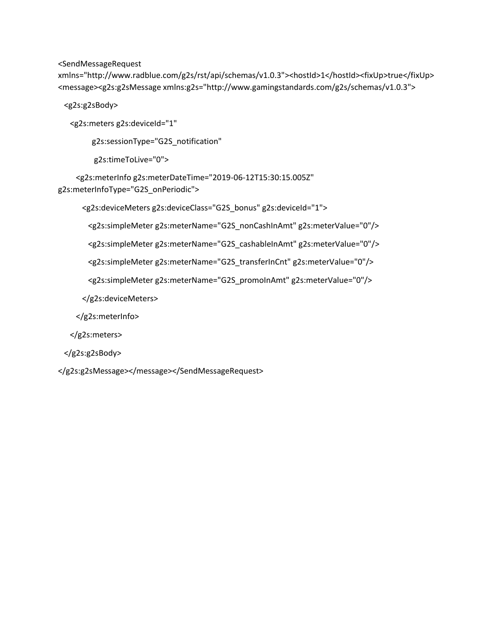<SendMessageRequest

xmlns="http://www.radblue.com/g2s/rst/api/schemas/v1.0.3"><hostId>1</hostId><fixUp>true</fixUp> <message><g2s:g2sMessage xmlns:g2s="http://www.gamingstandards.com/g2s/schemas/v1.0.3">

<g2s:g2sBody>

<g2s:meters g2s:deviceId="1"

g2s:sessionType="G2S\_notification"

g2s:timeToLive="0">

 <g2s:meterInfo g2s:meterDateTime="2019-06-12T15:30:15.005Z" g2s:meterInfoType="G2S\_onPeriodic">

<g2s:deviceMeters g2s:deviceClass="G2S\_bonus" g2s:deviceId="1">

<g2s:simpleMeter g2s:meterName="G2S\_nonCashInAmt" g2s:meterValue="0"/>

<g2s:simpleMeter g2s:meterName="G2S\_cashableInAmt" g2s:meterValue="0"/>

<g2s:simpleMeter g2s:meterName="G2S\_transferInCnt" g2s:meterValue="0"/>

<g2s:simpleMeter g2s:meterName="G2S\_promoInAmt" g2s:meterValue="0"/>

</g2s:deviceMeters>

</g2s:meterInfo>

</g2s:meters>

</g2s:g2sBody>

</g2s:g2sMessage></message></SendMessageRequest>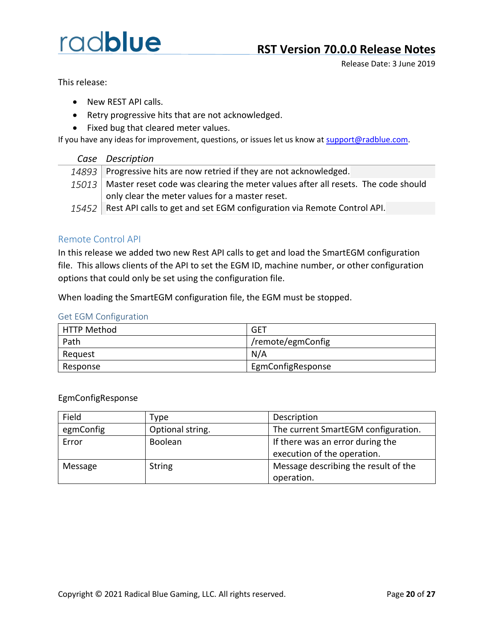Release Date: 3 June 2019

This release:

- New REST API calls.
- Retry progressive hits that are not acknowledged.
- Fixed bug that cleared meter values.

If you have any ideas for improvement, questions, or issues let us know at [support@radblue.com.](mailto:support@radblue.com)

| Case Description                                                                          |
|-------------------------------------------------------------------------------------------|
| 14893 Progressive hits are now retried if they are not acknowledged.                      |
| $15013$ Master reset code was clearing the meter values after all resets. The code should |
| only clear the meter values for a master reset.                                           |
| 15452   Rest API calls to get and set EGM configuration via Remote Control API.           |

### Remote Control API

In this release we added two new Rest API calls to get and load the SmartEGM configuration file. This allows clients of the API to set the EGM ID, machine number, or other configuration options that could only be set using the configuration file.

When loading the SmartEGM configuration file, the EGM must be stopped.

#### Get EGM Configuration

| <b>HTTP Method</b> | GET               |
|--------------------|-------------------|
| Path               | /remote/egmConfig |
| Request            | N/A               |
| Response           | EgmConfigResponse |

EgmConfigResponse

| Field     | Type             | Description                          |
|-----------|------------------|--------------------------------------|
| egmConfig | Optional string. | The current SmartEGM configuration.  |
| Error     | Boolean          | If there was an error during the     |
|           |                  | execution of the operation.          |
| Message   | <b>String</b>    | Message describing the result of the |
|           |                  | operation.                           |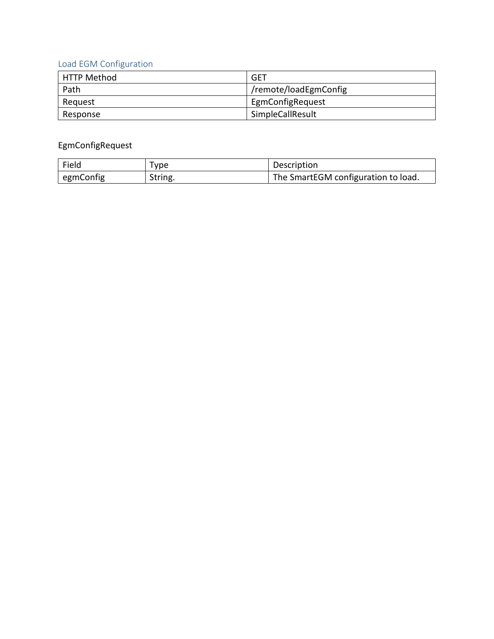### Load EGM Configuration

| <b>HTTP Method</b> | <b>GET</b>            |
|--------------------|-----------------------|
| Path               | /remote/loadEgmConfig |
| Reguest            | EgmConfigRequest      |
| Response           | SimpleCallResult      |

### EgmConfigRequest

| Field     | Tvpe    | Description                         |
|-----------|---------|-------------------------------------|
| egmConfig | String. | The SmartEGM configuration to load. |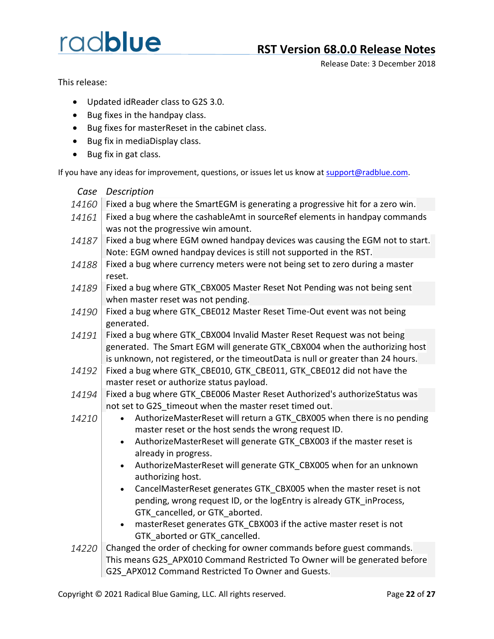## **RST Version 68.0.0 Release Notes**

Release Date: 3 December 2018

This release:

- Updated idReader class to G2S 3.0.
- Bug fixes in the handpay class.
- Bug fixes for masterReset in the cabinet class.
- Bug fix in mediaDisplay class.
- Bug fix in gat class.

| Case  | Description                                                                         |
|-------|-------------------------------------------------------------------------------------|
| 14160 | Fixed a bug where the SmartEGM is generating a progressive hit for a zero win.      |
| 14161 | Fixed a bug where the cashableAmt in sourceRef elements in handpay commands         |
|       | was not the progressive win amount.                                                 |
| 14187 | Fixed a bug where EGM owned handpay devices was causing the EGM not to start.       |
|       | Note: EGM owned handpay devices is still not supported in the RST.                  |
| 14188 | Fixed a bug where currency meters were not being set to zero during a master        |
|       | reset.                                                                              |
| 14189 | Fixed a bug where GTK CBX005 Master Reset Not Pending was not being sent            |
|       | when master reset was not pending.                                                  |
| 14190 | Fixed a bug where GTK_CBE012 Master Reset Time-Out event was not being              |
|       | generated.                                                                          |
| 14191 | Fixed a bug where GTK CBX004 Invalid Master Reset Request was not being             |
|       | generated. The Smart EGM will generate GTK CBX004 when the authorizing host         |
|       | is unknown, not registered, or the timeoutData is null or greater than 24 hours.    |
| 14192 | Fixed a bug where GTK_CBE010, GTK_CBE011, GTK_CBE012 did not have the               |
|       | master reset or authorize status payload.                                           |
| 14194 | Fixed a bug where GTK_CBE006 Master Reset Authorized's authorizeStatus was          |
|       | not set to G2S_timeout when the master reset timed out.                             |
| 14210 | AuthorizeMasterReset will return a GTK CBX005 when there is no pending<br>$\bullet$ |
|       | master reset or the host sends the wrong request ID.                                |
|       | AuthorizeMasterReset will generate GTK CBX003 if the master reset is<br>$\bullet$   |
|       | already in progress.                                                                |
|       | AuthorizeMasterReset will generate GTK_CBX005 when for an unknown                   |
|       | authorizing host.                                                                   |
|       | CancelMasterReset generates GTK_CBX005 when the master reset is not<br>$\bullet$    |
|       | pending, wrong request ID, or the logEntry is already GTK inProcess,                |
|       | GTK cancelled, or GTK_aborted.                                                      |
|       | masterReset generates GTK_CBX003 if the active master reset is not<br>$\bullet$     |
|       | GTK aborted or GTK cancelled.                                                       |
| 14220 | Changed the order of checking for owner commands before guest commands.             |
|       | This means G2S APX010 Command Restricted To Owner will be generated before          |
|       | G2S APX012 Command Restricted To Owner and Guests.                                  |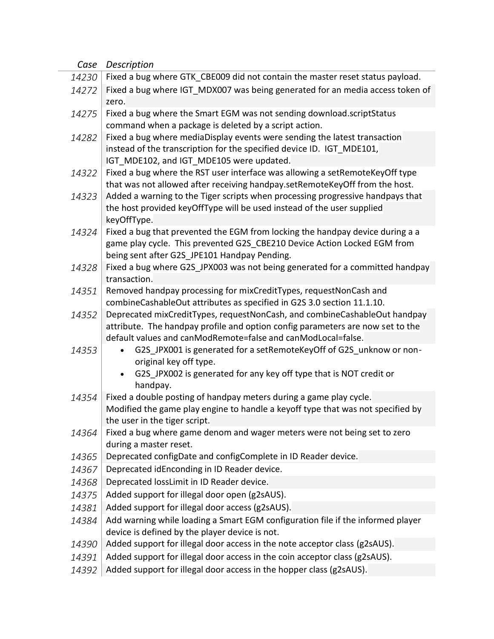| Case  | Description                                                                                                                                                 |
|-------|-------------------------------------------------------------------------------------------------------------------------------------------------------------|
| 14230 | Fixed a bug where GTK_CBE009 did not contain the master reset status payload.                                                                               |
| 14272 | Fixed a bug where IGT_MDX007 was being generated for an media access token of                                                                               |
|       | zero.                                                                                                                                                       |
| 14275 | Fixed a bug where the Smart EGM was not sending download.scriptStatus                                                                                       |
|       | command when a package is deleted by a script action.                                                                                                       |
| 14282 | Fixed a bug where mediaDisplay events were sending the latest transaction                                                                                   |
|       | instead of the transcription for the specified device ID. IGT MDE101,                                                                                       |
|       | IGT_MDE102, and IGT_MDE105 were updated.                                                                                                                    |
| 14322 | Fixed a bug where the RST user interface was allowing a setRemoteKeyOff type<br>that was not allowed after receiving handpay.setRemoteKeyOff from the host. |
| 14323 | Added a warning to the Tiger scripts when processing progressive handpays that                                                                              |
|       | the host provided keyOffType will be used instead of the user supplied                                                                                      |
|       | keyOffType.                                                                                                                                                 |
| 14324 | Fixed a bug that prevented the EGM from locking the handpay device during a a                                                                               |
|       | game play cycle. This prevented G2S CBE210 Device Action Locked EGM from                                                                                    |
|       | being sent after G2S JPE101 Handpay Pending.                                                                                                                |
| 14328 | Fixed a bug where G2S JPX003 was not being generated for a committed handpay                                                                                |
|       | transaction.                                                                                                                                                |
| 14351 | Removed handpay processing for mixCreditTypes, requestNonCash and                                                                                           |
|       | combineCashableOut attributes as specified in G2S 3.0 section 11.1.10.                                                                                      |
| 14352 | Deprecated mixCreditTypes, requestNonCash, and combineCashableOut handpay                                                                                   |
|       | attribute. The handpay profile and option config parameters are now set to the<br>default values and canModRemote=false and canModLocal=false.              |
| 14353 | G2S_JPX001 is generated for a setRemoteKeyOff of G2S_unknow or non-                                                                                         |
|       | original key off type.                                                                                                                                      |
|       | G2S_JPX002 is generated for any key off type that is NOT credit or                                                                                          |
|       | handpay.                                                                                                                                                    |
| 14354 | Fixed a double posting of handpay meters during a game play cycle.                                                                                          |
|       | Modified the game play engine to handle a keyoff type that was not specified by                                                                             |
|       | the user in the tiger script.                                                                                                                               |
| 14364 | Fixed a bug where game denom and wager meters were not being set to zero                                                                                    |
|       | during a master reset.                                                                                                                                      |
| 14365 | Deprecated configDate and configComplete in ID Reader device.                                                                                               |
| 14367 | Deprecated idEnconding in ID Reader device.                                                                                                                 |
| 14368 | Deprecated lossLimit in ID Reader device.                                                                                                                   |
| 14375 | Added support for illegal door open (g2sAUS).                                                                                                               |
| 14381 | Added support for illegal door access (g2sAUS).                                                                                                             |
| 14384 | Add warning while loading a Smart EGM configuration file if the informed player                                                                             |
|       | device is defined by the player device is not.                                                                                                              |
| 14390 | Added support for illegal door access in the note acceptor class (g2sAUS).                                                                                  |
| 14391 | Added support for illegal door access in the coin acceptor class (g2sAUS).                                                                                  |
| 14392 | Added support for illegal door access in the hopper class (g2sAUS).                                                                                         |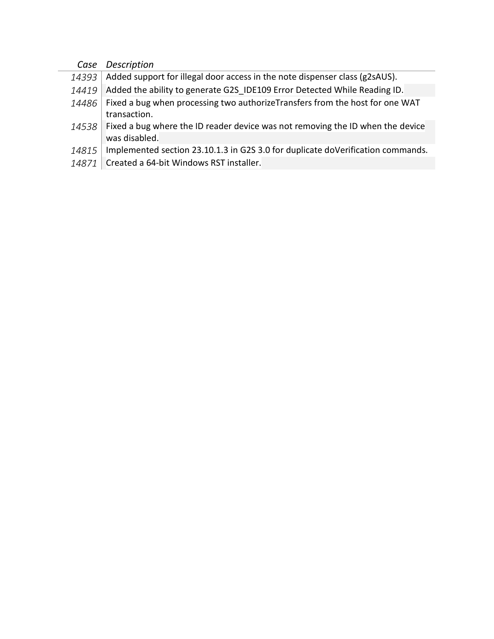| Case  | Description                                                                            |
|-------|----------------------------------------------------------------------------------------|
| 14393 | Added support for illegal door access in the note dispenser class (g2sAUS).            |
| 14419 | Added the ability to generate G2S IDE109 Error Detected While Reading ID.              |
| 14486 | Fixed a bug when processing two authorizeTransfers from the host for one WAT           |
|       | transaction.                                                                           |
|       | 14538   Fixed a bug where the ID reader device was not removing the ID when the device |
|       | was disabled.                                                                          |
| 14815 | Implemented section 23.10.1.3 in G2S 3.0 for duplicate doVerification commands.        |
|       |                                                                                        |

14871 Created a 64-bit Windows RST installer.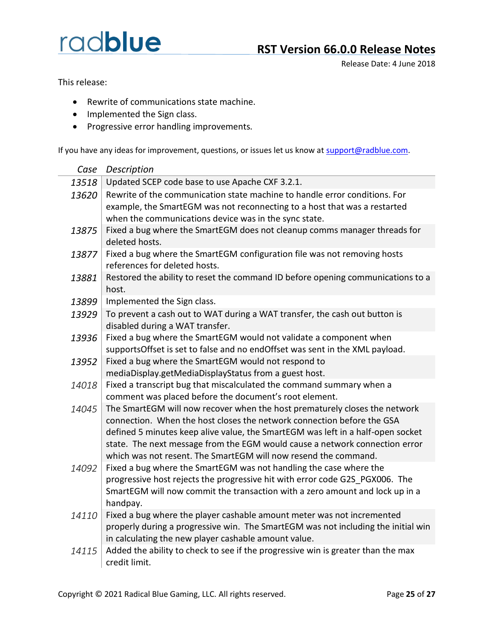## **RST Version 66.0.0 Release Notes**

Release Date: 4 June 2018

This release:

- Rewrite of communications state machine.
- Implemented the Sign class.
- Progressive error handling improvements.

| Case  | Description                                                                                                                                                                                                                                                                                                                                                                               |
|-------|-------------------------------------------------------------------------------------------------------------------------------------------------------------------------------------------------------------------------------------------------------------------------------------------------------------------------------------------------------------------------------------------|
| 13518 | Updated SCEP code base to use Apache CXF 3.2.1.                                                                                                                                                                                                                                                                                                                                           |
| 13620 | Rewrite of the communication state machine to handle error conditions. For<br>example, the SmartEGM was not reconnecting to a host that was a restarted<br>when the communications device was in the sync state.                                                                                                                                                                          |
| 13875 | Fixed a bug where the SmartEGM does not cleanup comms manager threads for<br>deleted hosts.                                                                                                                                                                                                                                                                                               |
| 13877 | Fixed a bug where the SmartEGM configuration file was not removing hosts<br>references for deleted hosts.                                                                                                                                                                                                                                                                                 |
| 13881 | Restored the ability to reset the command ID before opening communications to a<br>host.                                                                                                                                                                                                                                                                                                  |
| 13899 | Implemented the Sign class.                                                                                                                                                                                                                                                                                                                                                               |
| 13929 | To prevent a cash out to WAT during a WAT transfer, the cash out button is<br>disabled during a WAT transfer.                                                                                                                                                                                                                                                                             |
| 13936 | Fixed a bug where the SmartEGM would not validate a component when<br>supportsOffset is set to false and no endOffset was sent in the XML payload.                                                                                                                                                                                                                                        |
| 13952 | Fixed a bug where the SmartEGM would not respond to<br>mediaDisplay.getMediaDisplayStatus from a guest host.                                                                                                                                                                                                                                                                              |
| 14018 | Fixed a transcript bug that miscalculated the command summary when a<br>comment was placed before the document's root element.                                                                                                                                                                                                                                                            |
| 14045 | The SmartEGM will now recover when the host prematurely closes the network<br>connection. When the host closes the network connection before the GSA<br>defined 5 minutes keep alive value, the SmartEGM was left in a half-open socket<br>state. The next message from the EGM would cause a network connection error<br>which was not resent. The SmartEGM will now resend the command. |
| 14092 | Fixed a bug where the SmartEGM was not handling the case where the<br>progressive host rejects the progressive hit with error code G2S_PGX006. The<br>SmartEGM will now commit the transaction with a zero amount and lock up in a<br>handpay.                                                                                                                                            |
| 14110 | Fixed a bug where the player cashable amount meter was not incremented<br>properly during a progressive win. The SmartEGM was not including the initial win<br>in calculating the new player cashable amount value.                                                                                                                                                                       |
| 14115 | Added the ability to check to see if the progressive win is greater than the max<br>credit limit.                                                                                                                                                                                                                                                                                         |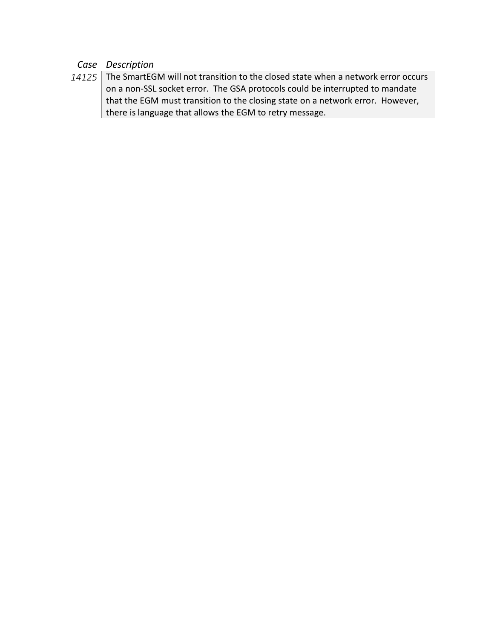### *Case Description*

*14125* The SmartEGM will not transition to the closed state when a network error occurs on a non-SSL socket error. The GSA protocols could be interrupted to mandate that the EGM must transition to the closing state on a network error. However, there is language that allows the EGM to retry message.